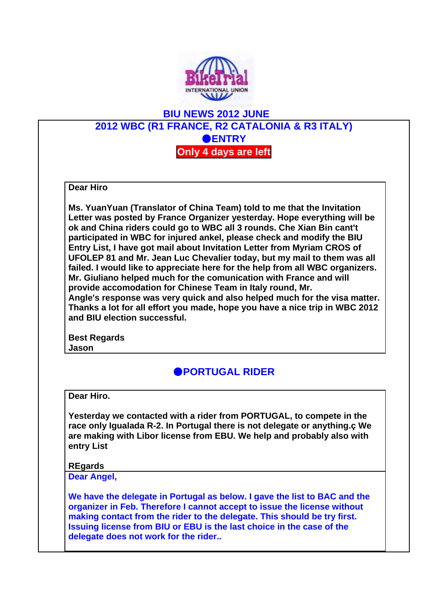

## **BIU NEWS 2012 JUNE 2012 WBC (R1 FRANCE, R2 CATALONIA & R3 ITALY)** ●**ENTRY Only 4 days are left**

**Dear Hiro**

**Ms. YuanYuan (Translator of China Team) told to me that the Invitation Letter was posted by France Organizer yesterday. Hope everything will be ok and China riders could go to WBC all 3 rounds. Che Xian Bin cant't participated in WBC for injured ankel, please check and modify the BIU Entry List, I have got mail about Invitation Letter from Myriam CROS of UFOLEP 81 and Mr. Jean Luc Chevalier today, but my mail to them was all failed. I would like to appreciate here for the help from all WBC organizers. Mr. Giuliano helped much for the comunication with France and will provide accomodation for Chinese Team in Italy round, Mr.** 

**Angle's response was very quick and also helped much for the visa matter. Thanks a lot for all effort you made, hope you have a nice trip in WBC 2012 and BIU election successful.**

**Best Regards Jason**

## ●**PORTUGAL RIDER**

**Dear Hiro.**

**Yesterday we contacted with a rider from PORTUGAL, to compete in the race only Igualada R-2. In Portugal there is not delegate or anything.ç We are making with Libor license from EBU. We help and probably also with entry List**

## **REgards**

**Dear Angel,**

**We have the delegate in Portugal as below. I gave the list to BAC and the organizer in Feb. Therefore I cannot accept to issue the license without making contact from the rider to the delegate. This should be try first. Issuing license from BIU or EBU is the last choice in the case of the delegate does not work for the rider..**